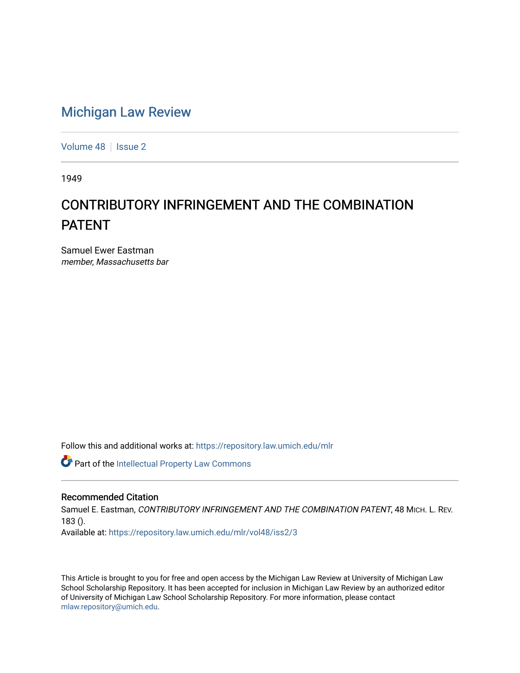# [Michigan Law Review](https://repository.law.umich.edu/mlr)

[Volume 48](https://repository.law.umich.edu/mlr/vol48) | [Issue 2](https://repository.law.umich.edu/mlr/vol48/iss2)

1949

# CONTRIBUTORY INFRINGEMENT AND THE COMBINATION PATENT

Samuel Ewer Eastman member, Massachusetts bar

Follow this and additional works at: [https://repository.law.umich.edu/mlr](https://repository.law.umich.edu/mlr?utm_source=repository.law.umich.edu%2Fmlr%2Fvol48%2Fiss2%2F3&utm_medium=PDF&utm_campaign=PDFCoverPages) 

Part of the [Intellectual Property Law Commons](http://network.bepress.com/hgg/discipline/896?utm_source=repository.law.umich.edu%2Fmlr%2Fvol48%2Fiss2%2F3&utm_medium=PDF&utm_campaign=PDFCoverPages) 

#### Recommended Citation

Samuel E. Eastman, CONTRIBUTORY INFRINGEMENT AND THE COMBINATION PATENT, 48 MICH. L. REV. 183 ().

Available at: [https://repository.law.umich.edu/mlr/vol48/iss2/3](https://repository.law.umich.edu/mlr/vol48/iss2/3?utm_source=repository.law.umich.edu%2Fmlr%2Fvol48%2Fiss2%2F3&utm_medium=PDF&utm_campaign=PDFCoverPages)

This Article is brought to you for free and open access by the Michigan Law Review at University of Michigan Law School Scholarship Repository. It has been accepted for inclusion in Michigan Law Review by an authorized editor of University of Michigan Law School Scholarship Repository. For more information, please contact [mlaw.repository@umich.edu.](mailto:mlaw.repository@umich.edu)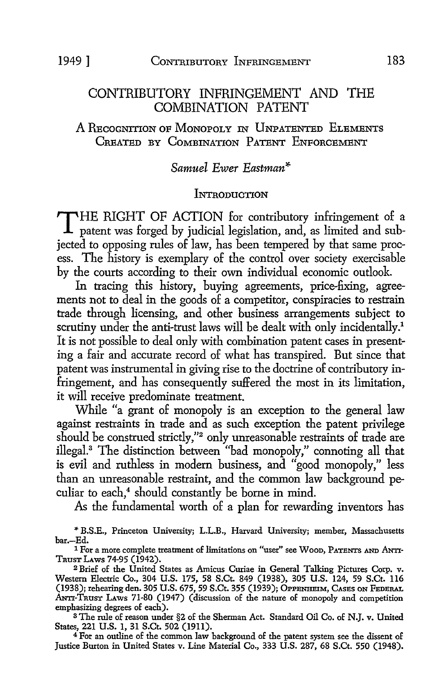# CONTRIBUTORY INFRINGEMENT AND THE COMBINATION PATENT

A REcoGNITION OF MoNOPOLY IN UNPATENTED ELEMENTS CREATED BY COMBINATION PATENT ENFORCEMENT

# *Samuel Ewer Eastman\**

#### **INTRODUCTION**

T HE RIGHT OF ACTION for contributory infringement of a patent was forged by judicial legislation, and, as limited and subjected to opposing rules of law, has been tempered by that same process. The history is exemplary of the control over society exercisable by the courts according to their own individual economic outlook.

In tracing this history, buying agreements, price-fixing, agreements not to deal in the goods of a competitor, conspiracies to restrain trade through licensing, and other business arrangements subject to scrutiny under the anti-trust laws will be dealt with only incidentally.<sup>1</sup> It is not possible to deal only with combination patent cases in presenting a fair and accurate record of what has transpired. But since that patent was instrumental in giving rise to the doctrine of contributory infringement, and has consequently suffered the most in its limitation, it will receive predominate treatment.

While "a grant of monopoly is an exception to the general law against restraints in trade and as such exception the patent privilege should be construed strictly,"2 only unreasonable restraints of trade are illegal.<sup>3</sup> The distinction between "bad monopoly," connoting all that is evil and ruthless in modern business, and "good monopoly," less than an unreasonable restraint, and the common law background peculiar to each.<sup>4</sup> should constantly be borne in mind.

As the fundamental worth of a plan for rewarding inventors has

,. B.S.E., Princeton University; L.L.B., Harvard University; member, Massachusetts bar.-Ed.

<sup>3</sup>The rule of reason under §2 of the Sherman Act. Standard Oil Co. of N.J. v. United States, 221 U.S. 1, 31 S.Ct. 502 (1911).

<sup>4</sup>For an outline of the common law background of the patent system see the dissent of Justice Burton in United States v. Line Material Co., 333 U.S. 287, 68 S.Ct. 550 (1948).

<sup>&</sup>lt;sup>1</sup> For a more complete treatment of limitations on "user" see Woon, PATENTS AND ANTI-TnusT LAws 74-95 (1942).

<sup>2</sup>Brief of the United States as Amicus Curiae in General Talking Pictures Corp. v. Western Electric Co., 304 U.S. 175, 58 S.Ct. 849 (1938), 305 U.S. 124, 59 S.Ct. 116 (1938); rehearing den. 305 U.S. 675, 59 S.Ct. 355 (1939); OPPENHEIM, CASES ON FEDERAL ANTI-TRUST LAWS 71-80 (1947) (discussion of the nature of monopoly and competition emphasizing degrees of each).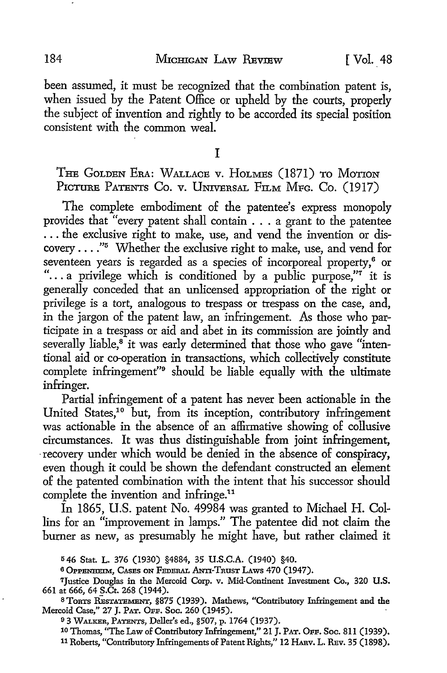184 MICHIGAN LAW REVIEW [Vol. 48

been assumed, it must be recognized that the combination patent is, when issued by the Patent Office or upheld by the courts, properly the subject of invention and rightly to be accorded its special position consistent with the common weal.

I

THE GOLDEN ERA: WALLACE V. HOLMES (1871) TO MOTION PICTURE PATENTS CO. v. UNIVERSAL FILM MFG. CO. (1917)

The complete embodiment of the patentee's express monopoly provides that "every patent shall contain ... a grant to the patentee ... the exclusive right to make, use, and vend the invention or discovery  $\dots$ ."<sup>5</sup> Whether the exclusive right to make, use, and vend for seventeen years is regarded as a species of incorporeal property,<sup>6</sup> or "... a privilege which is conditioned by a public purpose."<sup>7</sup> it is generally conceded that an unlicensed appropriation of the right or privilege is a tort, analogous to trespass or trespass on the case, and, in the jargon of the patent law, an infringement. As those who participate in a trespass or aid and abet in its commission are jointly and severally liable,<sup>8</sup> it was early determined that those who gave "intentional aid or co-operation in transactions, which collectively constitute complete infringement"9 should be liable equally with the ultimate infringer.

Partial infringement of a patent has never been actionable in the United States,1° but, from its inception, contributory infringement was actionable in the absence of an affirmative showing of collusive circumstances. It was thus distinguishable from joint infringement, recovery under which would be denied in the absence of conspiracy, even though it could be shown the defendant constructed an element of the patented combination with the intent that his successor should complete the invention and infringe.<sup>11</sup>

In 1865, U.S. patent No. 49984 was granted to Michael H. Collins for an "improvement in lamps." The patentee did not claim the burner as new, as presumably he might have, but rather claimed it

<sup>5</sup>46 Stat. L. 376 (1930) §4884, 35 U.S.C.A. (1940) §40.

<sup>6</sup>OPPENHEIM, CAsEs ON FEDERAL ANTI-TRUST LAws 470 (1947).

<sup>7</sup>Justice Douglas in the Mercoid Corp. v. Mid-Continent Investment Co., 320 U.S. 661 at 666, 64 S.Ct. 268 (1944).

<sup>8</sup> TORTS RESTATEMENT, §875 (1939). Mathews, "Contributory Infringement and the Mercoid Case," 27 J. PAT. OFF. Soc. 260 (1945).

<sup>9</sup>3 WALKER, PATENTS, Deller's ed., §507, p. 1764 (1937).

<sup>10</sup> Thomas, "The Law of Contributory Infringement," 21 J. PAT. OFF. Soc. 8ll (1939). 11 Roberts, "Contributory Infringements of Patent Rights," 12 HAnv. L. REv. 35 (1898).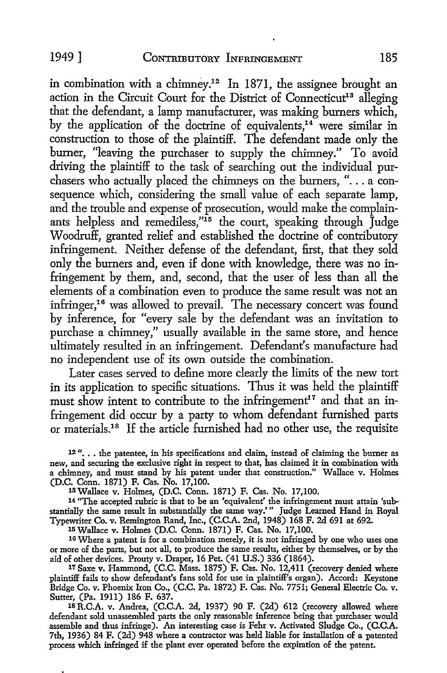in combination with a chimney.<sup>12</sup> In 1871, the assignee brought an action in the Circuit Court for the District of Connecticut<sup>13</sup> alleging that the defendant, a lamp manufacturer, was making burners which, by the application of the doctrine of equivalents,<sup>14</sup> were similar in construction to those of the plaintiff. The defendant made only the burner, "leaving the purchaser to supply the chimney." To avoid driving the plaintiff to the task of searching out the individual purchasers who actually placed the chimneys on the burners, " $\ldots$  a consequence which, considering the small value of each separate lamp, and the trouble and expense of prosecution, would make the complainants helpless and remediless," $15$  the court, speaking through  $\tilde{I}$ udge Woodruff, granted relief and established the doctrine of contributory infringement. Neither defense of the defendant, first, that they sold only the burners and, even if done with knowledge, there was no infringement by them, and, second, that the user of less than all the elements of a combination even to produce the same result was not an infringer,<sup>16</sup> was allowed to prevail. The necessary concert was found by inference, for "every sale by the defendant was an invitation to purchase a chimney," usually available in the same store, and hence ultimately resulted in an infringement. Defendant's manufacture had no independent use of its own outside the combination.

Later cases served to define more clearly the limits of the new tort in its application to specific situations. Thus it was held the plaintiff must show intent to contribute to the infringement<sup>17</sup> and that an infringement did occur by a party to whom defendant furnished parts or materials.18 If the article furnished had no other use, the requisite

12"... the patentee, in his specifications and claim, instead of claiming the burner as new, and securing the exclusive right in respect to that, has claimed it in combination with a chimney, and must stand by his patent under that construction." Wallace v. Holmes (D.C. Conn. 1871) F. Cas. No. 17,100.

13Wallace v. Holmes, (D.C. Conn. 1871) F. Cas. No. 17,100.

14 "The accepted rubric is that to be an 'equivalent' the infringement must attain 'substantially the same result in substantially the same way.'" Judge Learned Hand in Royal Typewriter Co. v. Remington Rand, Inc., (C.C.A. 2nd, 1948) 168 F. 2d 691 at 692.

15 Wallace v. Holmes (D.C. Conn. 1871) F. Cas. No. 17,100.

16 Where a patent is for a combination merely, it is not infringed by one who uses one or more of the parts, but not all, to produce the same results, either by themselves, or by the aid of other devices. Prouty v. Draper, 16 Pet. (41 U.S.) 336 (1864).

17 Saxe v. Hammond, (C.C. Mass. 1875) F. Cas. No. 12,411 (recovery denied where plaintiff fails to show defendant's fans sold for use in plaintiff's organ). Accord: Keystone Bridge Co. v. Phoenix Iron Co., (C.C. Pa. 1872) F. Cas. No. 7751; General Electric Co. v. Sutter, (Pa. 1911) 186 F. 637.

18 R.C.A. v. Andrea, (C.C.A. 2d, 1937) 90 F. (2d) 612 (recovery allowed where defendant sold unassembled parts the only reasonable inference being that purchaser would assemble and thus infringe). An interesting case is Fehr v. Activated Sludge Co., (C.C.A. 7th, 1936) 84 F. (2d) 948 where a contractor was held liable for installation of a patented process which infringed if the plant ever operated before the expiration of the patent.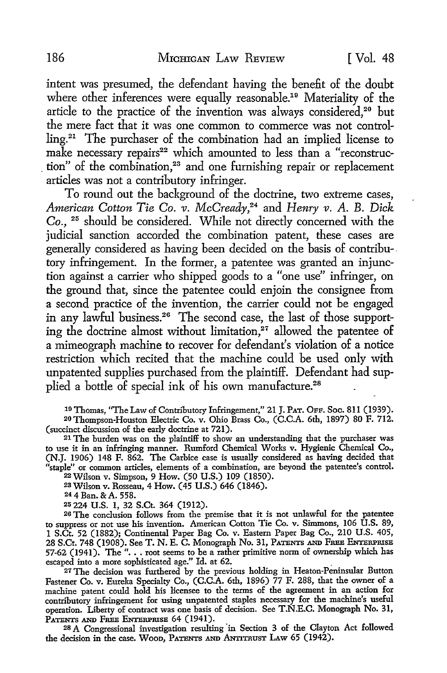intent was presumed, the defendant having the benefit of the doubt where other inferences were equally reasonable.<sup>19</sup> Materiality of the article to the practice of the invention was always considered,<sup>20</sup> but the mere fact that it was one common to commerce was not controlling.21 The purchaser of the combination had an implied license to make necessary repairs<sup>22</sup> which amounted to less than a "reconstruction" of the combination,<sup>23</sup> and one furnishing repair or replacement articles was not a contributory infringer.

To round out the background of the doctrine, two extreme cases, *American Cotton Tie Co. v. McCready,24* and *Henry v. A.* B. *Dick Co.,* 25 should be considered. While not directly concerned with the judicial sanction accorded the combination patent, these cases are generally considered as having been decided on the basis of contribu- . tory infringement. In the former, a patentee was granted an injunction against a carrier who shipped goods to a "one use" infringer, on the ground that, since the patentee could enjoin the consignee from a second practice of the invention, the carrier could not be engaged in any lawful business.26 The second case, the last of those supporting the doctrine almost without limitation, $27$  allowed the patentee of a mimeograph machine to recover for defendant's violation of a notice restriction which recited that the machine could be used only with unpatented supplies purchased from the plaintiff. Defendant had supplied a bottle of special ink of his own manufacture.<sup>28</sup>

<sup>19</sup>Thomas, ''The Law of Contributory Infringement," 21 J. PAT. OFF. Soc. 811 (1939).

20 Thompson-Houston Electric Co. v. Ohio Brass Co., (C.C.A. 6th, 1897) 80 F. 712. (succinct discussion of the early doctrine at 721).

21 The burden was on the plaintiff to show an understanding that the purchaser was to use it in an infringing manner. Rumford Chemical Works v. Hygienic Chemical Co., (N.J. 1906) 148 F. 862. The Carbice case is usually considered as having decided that "staple" or common articles, elements of a combination, are beyond the patentee's control.

22Wilson v. Simpson, 9 How. (50 U.S.) 109 (1850).

2SWilson v. Rosseau, 4 How. (45 U.S.) 646 (1846).

244Ban. &A. 558.

25 224 U.S. 1, 32 S.Ct. 364 (1912).

26 The conclusion follows from the premise that it is not unlawful for the patentee to suppress or not use his invention. American Cotton Tie Co. v. Simmons, 106 U.S. 89, 1 S.Ct. 52 (1882); Continental Paper Bag Co. v. Eastern Paper Bag Co., 210 U.S. 405, 28 S.Ct. 748 (1908). See T. N. E. C. Monograph No. 31, PATENTS AND FREE ENTERPRISE 57-62 (1941). The "... root seems to be a rather primitive norm of ownership which has escaped into a more sophisticated age." Id. at 62. .

<sup>27</sup> The decision was furthered by the previous holding in Heaton-Peninsular Button Fastener Co. v. Eureka Specialty Co., (C.C.A. 6th, 1896) 77 F. 288, that the owner of a machine patent could hold his licensee to the terms of the agreement in an action for contributory infringement for using unpatented staples necessary for the machine's useful operation. Liberty of contract was one basis of decision. See T.N.E.C. Monograph No. 31, PATENTS AND FREE ENTERPRISE 64 (1941).

28 A Congressional investigation resulting in Section 3 of the Clayton Act followed the decision in the case. WooD, PATENTS AND ANTITRUST LAw 65 (1942).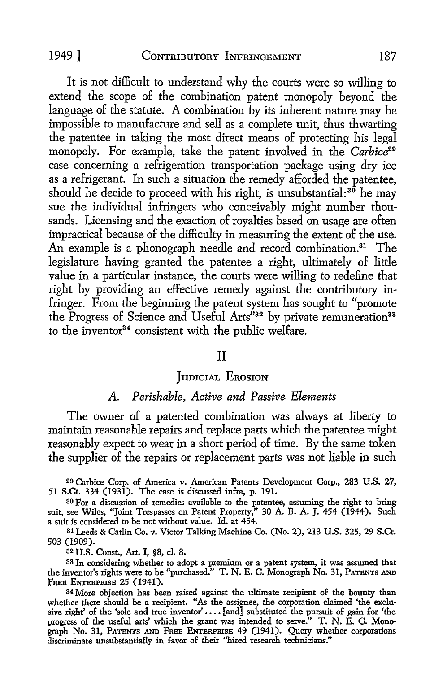It is not difficult to understand why the courts were so willing to extend the scope of the combination patent monopoly beyond the language of the statute. A combination by its inherent nature may be impossible to manufacture and sell as a complete unit, thus thwarting the patentee in taking the most direct means of protecting his legal monopoly. For example, take the patent involved in the *Carhice29*  case concerning a refrigeration transportation package using dry ice as a refrigerant. In such a situation the remedy afforded the patentee, should he decide to proceed with his right, is unsubstantial: $3\delta$  he may sue the individual infringers who conceivably might number thousands. Licensing and the exaction of royalties based on usage are often impractical because of the difficulty in measuring the extent of the use. An example is a phonograph needle and record combination.<sup>31</sup> The legislature having granted the patentee a right, ultimately of little value in a particular instance, the courts were willing to redefine that right by providing an effective remedy against the contributory infringer. From the beginning the patent system has sought to "promote the Progress of Science and Useful Arts"<sup>32</sup> by private remuneration<sup>33</sup> to the inventor<sup>34</sup> consistent with the public welfare.

#### II

#### JUDICIAL EROSION

### *A. Perishable, Active and Passive Elements*

The owner of a patented combination was always at liberty to maintain reasonable repairs and replace parts which the patentee might reasonably expect to wear in a short period of time. By the same token the supplier of the repairs or replacement parts was not liable in such

29 Carbice Corp. of America v. American Patents Development Corp., 283 U.S. 27, 51 S.Ct. 334 (1931). The case is discussed infra, p. 191.

30 For a discussion of remedies available to the patentee, assuming the right to bring suit, see Wiles, "Joint Trespasses on Patent Property," 30 A. B. A. J. 454 (1944). Such a suit is considered to be not without value. Id. at 454.

31 Leeds & Catlin Co. v. Victor Talking Machine Co. (No. 2), 213 U.S. 325, 29 S.Ct. 503 (1909).

32 U.S. Const., Art. I, §8, cl. 8.

33 In considering whether to adopt a premium or a patent system, it was assumed that the inventor's rights were to be "purchased." T. N. E. C. Monograph No. 31, PATENTS AND FREE ENTERPRISE 25 (1941).

34 More objection has been raised against the ultimate recipient of the bounty than whether there should be a recipient. "As the assignee, the corporation claimed 'the exclusive right' of the 'sole and true inventor' .... [and] substituted the pursuit of gain for 'the progress of the useful arts' which the grant was intended to serve." T. N. E. C. Monograph No. 31, PATENTS AND FREE ENTERPRISE 49 (1941). Query whether corporations discriminate unsubstantially in favor of their "hired research technicians."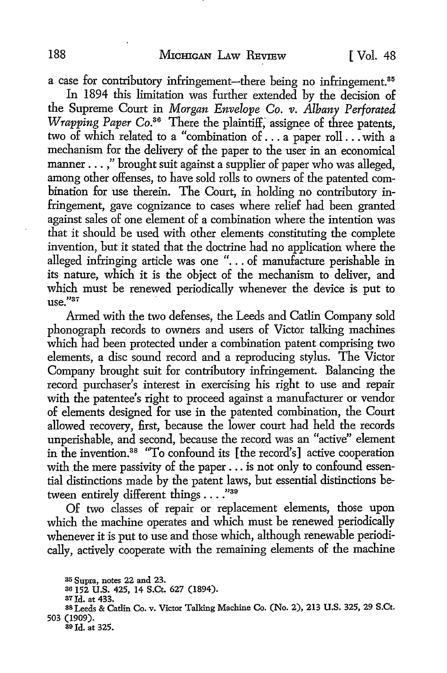a case for contributory infringement-there being no infringement.<sup>35</sup>

In 1894 this limitation was further extended by the decision of the Supreme Court in *Morgan Envelope Co. v. Albany Perforated Wrapping Paper Co.*<sup>36</sup> There the plaintiff, assignee of three patents, two of which related to a "combination of ... a paper roll ... with a mechanism for the delivery of the paper to the user in an economical manner . . . ," brought suit against a supplier of paper who was alleged, among other offenses, to have sold rolls to owners of the patented combination for use therein. The Court, in holding no contributory infringement, gave cognizance to cases where relief had been granted against sales of one element of a combination where the intention was that it should be used with other elements constituting the complete invention, but it stated that the doctrine had no application where the alleged infringing article was one " $\ldots$  of manufacture perishable in its nature, which it is the object of the mechanism to deliver, and which must be renewed periodically whenever the device is put to  $n$ se $"37$ 

Armed with the two defenses, the Leeds and Catlin Company sold phonograph records to owners and users of Victor talking machines which had been protected under a combination patent comprising two elements, a disc sound record and a reproducing stylus. The Victor Company brought suit for contributory infringement. Balancing the record purchaser's interest in exercising his right to use and repair with the patentee's right to proceed against a manufacturer or vendor of elements designed for use in the patented combination, the Court allowed recovery, first, because the lower court had held the records unperishable, and second, because the record was an "active" element in the invention.38 "To confound its [the record's] active cooperation with the mere passivity of the paper . . . is not only to confound essential distinctions made by the patent laws, but essential distinctions between entirely different things . . . . "39

Of two classes of repair or replacement elements, those upon which the machine operates and which must be renewed periodically whenever it is put to use and those which, although renewable periodically, actively cooperate with the remaining elements of the machine

<sup>35</sup> Supra, notes 22 and 23.

<sup>36</sup>152 U.S. 425, 14 S.Ct. 627 (1894).

<sup>37</sup>Id. at 433. 88 Leeds & Catlin Co. v. Victor Talking Machine Co. (No. 2), 213 U.S. 325, 29 S.Ct. 503 (1909).

<sup>30</sup> Id. at 325.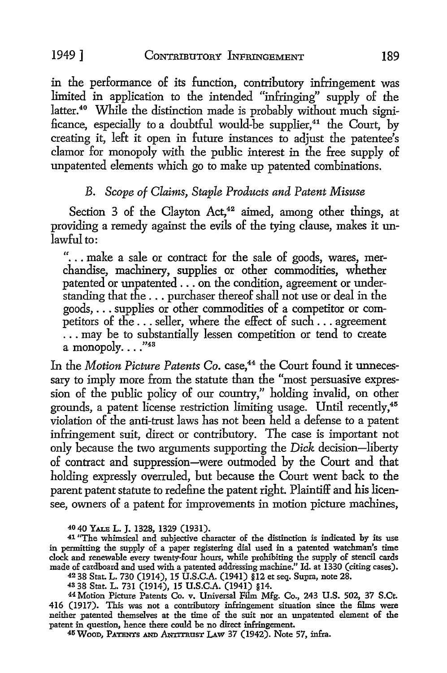in the performance of its function, contributory infringement was limited in application to the intended "infringing" supply of the latter.<sup>40</sup> While the distinction made is probably without much significance, especially to a doubtful would-be supplier,<sup>41</sup> the Court, by creating it, left it open in future instances to adjust the patentee's clamor for monopoly with the public interest in the free supply of unpatented elements which go *to* make up patented combinations.

# B. *Scope of Claims, Staple Products and Patent Misuse*

Section  $3$  of the Clayton Act,<sup>42</sup> aimed, among other things, at providing a remedy against the evils of the tying clause, makes it unlawful to:

"... make a sale or contract for the sale of goods, wares, merchandise, machinery, supplies or other commodities, whether patented or unpatented . . . on the condition, agreement or understanding that the ... purchaser thereof shall not use or deal in the goods, ... supplies or other commodities of a competitor or competitors of the ... seller, where the effect of such ... agreement ... may be to substantially lessen competition or tend to create a monopoly... $"$ 43

In the *Motion Picture Patents Co.* case,<sup>44</sup> the Court found it unnecessary to imply more from the statute than the "most persuasive expression of the public policy of our country," holding invalid, on other grounds, a patent license restriction limiting usage. Until recently,<sup>45</sup> violation of the anti-trust laws has not been held a defense *to* a patent infringement suit, direct or contributory. The case is important not only because the two arguments supporting the *Dick* decision-liberty of contract and suppression-were outmoded by the Court and that holding expressly overruled, but because the Court went back *to* the parent patent statute *to* redefine the patent right. Plaintiff and his licensee, owners of a patent for improvements in motion picture machines,

42 38 Stat L. 730 (1914), 15 U.S.C.A. (1941) §12 et seq. Supra, note 28.

<sup>44</sup> Motion Picture Patents Co. v. Universal Film Mfg. Co., 243 U.S. 502, 37 S.Ct. 416 (1917). This was not a contributory infringement situation since the films were neither patented themselves at the time of the suit nor an unpatented element of the patent in question, hence there could be no direct infringement.

45 WOOD, PATENTS AND ANITTRUST LAW 37 (1942). Note 57, infra.

<sup>40 40</sup> YALE L. J. 1328, 1329 (1931).

<sup>41 &</sup>quot;The whimsical and subjective character of the distinction is indicated by its use in permitting the supply of a paper registering dial used in a patented watchman's time clock and renewable every twenty-four hours, while prohibiting the supply of stencil cards made of cardboard and used with a patented addressing machine." Id. at 1330 (citing cases).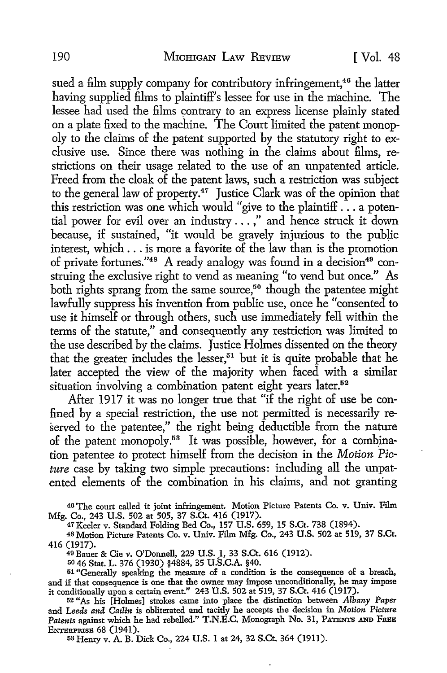sued a film supply company for contributory infringement,<sup>46</sup> the latter having supplied films to plaintiff's lessee for use in the machine. The lessee had used the films contrary to an express license plainly stated on a plate fixed to the machine. The Court limited the patent monopoly to the claims of the patent supported by the statutory right to exclusive use. Since there was nothing in the claims about films, restrictions on their usage related to the use of an unpatented article. Freed from the cloak of the patent laws, such a restriction was subject to the general law of property.47 Justice Clark was of the opinion that this restriction was one which would "give to the plaintiff . . . a potential power for evil over an industry ... ," and hence struck it down because, if sustained, "it would be gravely injurious to the public interest, which ... is more a favorite of the law than is the promotion of private fortunes."<sup>48</sup> A ready analogy was found in a decision<sup>49</sup> construing the exclusive right to vend as meaning "to vend but once." As both rights sprang from the same source,<sup>50</sup> though the patentee might lawfully suppress his invention from public use, once he "consented to use it himself or through others, such use immediately fell within the terms of the statute," and consequently any restriction was limited to the use described by the claims. Justice Holmes dissented on the theory that the greater includes the lesser,<sup>51</sup> but it is quite probable that he later accepted the view of the majority when faced with a similar situation involving a combination patent eight years later.<sup>52</sup>

After 1917 it was no longer true that "if the right of use be confined by a special restriction, the use not permitted is necessarily reserved to the patentee," the right being deductible from the nature of the patent monopoly.<sup>53</sup> It was possible, however, for a combination patentee to protect himself from the decision in the *Motion Picture* case by taking two simple precautions: including all the unpatented elements of the combination in his claims, and not granting

46 The court called it joint infringement. Motion Picture Patents Co. v. Univ. Film Mfg. Co., 243 U.S. 502 at 505, 37 S.Ct. 416 (1917).

47 Keeler v. Standard Folding Bed Co., 157 U.S. 659, 15 S.Ct. 738 (1894).

48 Motion Picture Patents Co. v. Univ. Film Mfg. Co., 243 U.S. 502 at 519, 37 S.Ct. 416 (1917).

49 Bauer & Cie v. O'Donnell, 229 U.S. 1, 33 S.Ct. 616 (1912).

<sup>50</sup>46 Stat. L. 376 (1930) §4884, 35 U.S.C.A. §40.

51 "Generally speaking the measure of a condition is the consequence of a breach, and if that consequence is one that the owner may impose unconditionally, he may impose it conditionally upon a certain event." 243 U.S. 502 at 519, 37 S.Ct. 416 (1917).

52 *"As* his [Holmes] strokes came into place the distinction between *Albany Paper*  and *Leeds and Catlin* is obliterated and tacitly he accepts the decision in *Motion Picture*  Patents against which he had rebelled." T.N.E.C. Monograph No. 31, PATENTS AND FREE ENTBRPRISB 68 (1941). 53 Henry v. A. B. Dick Co., 224 U.S. 1 at 24, 32 S.Ct. 364 (1911).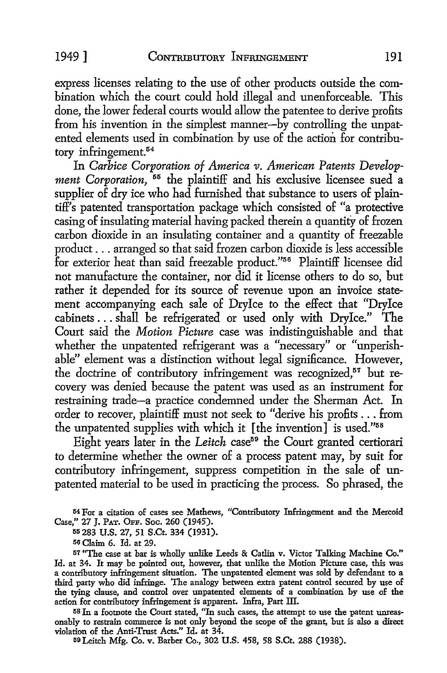express licenses relating to the use of other products outside the combination which the court could hold illegal and unenforceable. This done, the lower federal courts would allow the patentee to derive profits from his invention in the simplest manner-by controlling the unpatented elements used in combination by use of the action for contributory infringement. 54

In *Carbice Corporation of America v. American Patents Development Corporation*, <sup>55</sup> the plaintiff and his exclusive licensee sued a supplier of dry ice who had furnished that substance to users of plaintiff's patented transportation package which consisted of "a protective casing of insulating material having packed therein a quantity of frozen carbon dioxide in an insulating container and a quantity of freezable product ... arranged so that said frozen carbon dioxide is less accessible for exterior heat than said freezable product."56 Plaintiff licensee did not manufacture the container, nor did it license others to do so, but rather it depended for its source of revenue upon an invoice statement accompanying each sale of Drylce to the effect that "Drylce cabinets ... shall be refrigerated or used only with Drylce." The Court said the *Motion Picture* case was indistinguishable and that whether the unpatented refrigerant was a "necessary" or "unperishable" element was a distinction without legal significance. However, the doctrine of contributory infringement was recognized,<sup>57</sup> but recovery was denied because the patent was used as an instrument for restraining trade-a practice condemned under the Sherman Act. In order to recover, plaintiff must not seek to "derive his profits ... from the unpatented supplies with which it [the invention] is used."58

Eight years later in the *Leitch* case<sup>59</sup> the Court granted certiorari to determine whether the owner of a process patent may, by suit for contributory infringement, suppress competition in the sale of unpatented material to be used in practicing the process. So phrased, the

54 For a citation of cases see Mathews, "Contributory Infringement and the Mercoid Case," 27 J. PAT. OFF. Soc. 260 (1945).

55 283 U.S. 27, 51 S.Ct. 334 (1931).

56 Claim 6. Id. at 29.

57 "The case at bar is wholly unlike Leeds & Catlin v. Victor Talking Machine Co." Id. at 34. It may be pointed out, however, that unlike the Motion Picture case, this was a contributory infringement situation. The unpatented element was sold by defendant to a third party who did infringe. The analogy between extra patent control secured by use of the tying clause, and control over unpatented elements of a combination by use of the action for contributory infringement is apparent. Infra, Part III.

58 In a footnote the Court stated, "In such cases, the attempt to use the patent unreasonably to restrain commerce is not only beyond the scope of the grant, but is also a direct violation of the Anti-Trust Acts." Id. at 34.

59Leitch Mfg. Co. v. Barber Co., 302 U.S. 458, 58 S.Ct. 288 (1938).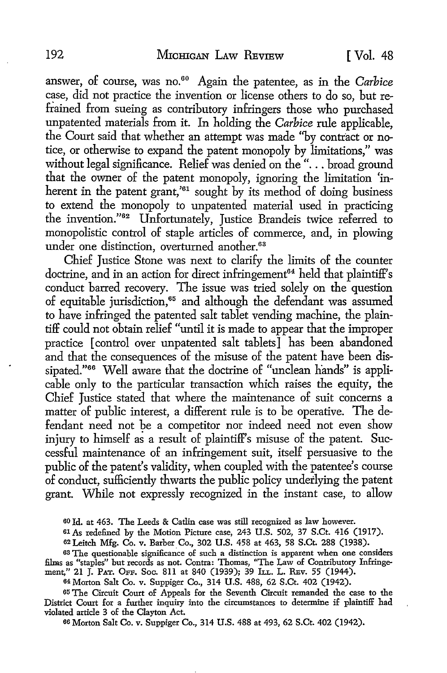answer, of course, was no.<sup>60</sup> Again the patentee, as in the *Carbice* case, did not practice the invention or license others to do so, but refrained from sueing as contributory infringers those who purchased unpatented materials from it. In holding the *Carbice* rule applicable, the Court said that whether an attempt was made ''by contract or notice, or otherwise to expand the patent monopoly by limitations," was without legal significance. Relief was denied on the "... broad ground that the owner of the patent monopoly, ignoring the limitation 'inherent in the patent grant,<sup>'61</sup> sought by its method of doing business to extend the monopoly to unpatented material used in practicing the invention."62 Unfortunately, Justice Brandeis twice referred to monopolistic control of staple articles of commerce, and, in plowing under one distinction, overturned another.<sup>63</sup>

Chief Justice Stone was next to clarify the limits of the counter doctrine, and in an action for direct infringement<sup>64</sup> held that plaintiff's conduct barred recovery. The issue was tried solely on the question of equitable jurisdiction, 65 and although the defendant was assumed to have infringed the patented salt tablet vending machine, the plaintiff could not obtain relief "until it is made to appear that the improper practice [ control over unpatented salt tablets] has been abandoned and that the consequences of the misuse of the patent have been dissipated."<sup>66</sup> Well aware that the doctrine of "unclean hands" is applicable only to the particular transaction which raises the equity, the Chief Justice stated that where the maintenance of suit concerns a matter of public interest, a different rule is to be operative. The defendant need not be a competitor nor indeed need not even show injury to himself as a result of plaintiff's misuse of the patent. Successful maintenance of an infringement suit, itself persuasive to the public of the patent's validity, when coupled with the patentee's course of conduct, sufficiently thwarts the public policy underlying the patent grant. While not expressly recognized in the instant case, to allow

60 Id. at 463. The Leeds & Catlin case was still recognized as law however.

61As redefined by the Motion Picture case, 243 U.S. 502, 37 S.Ct. 416 (1917).

62 Leitch Mfg. Co. v. Barber Co., 302 U.S. 458 at 463, 58 S.Ct. 288 (1938).

63 The questionable significance of such a distinction is apparent when one considers films as "staples" but records as not. Contra: Thomas, ''The Law of Contributory Infringement," 21 J. PAT. OFF. Soc. 811 at 840 (1939); 39 ILL. L. REv. 55 (1944).

64 Morton Salt Co. v. Suppiger Co., 314 U.S. 488, 62 S.Ct. 402 (1942).

65 The Circuit Court of Appeals for the Seventh Circuit remanded the case to the District Court for a further inquiry into the circumstances to determine if plaintiff had violated article 3 of the Clayton Act.

66 Morton Salt Co. v. Suppiger Co., 314 U.S. 488 at 493, 62 S.Ct. 402 (1942).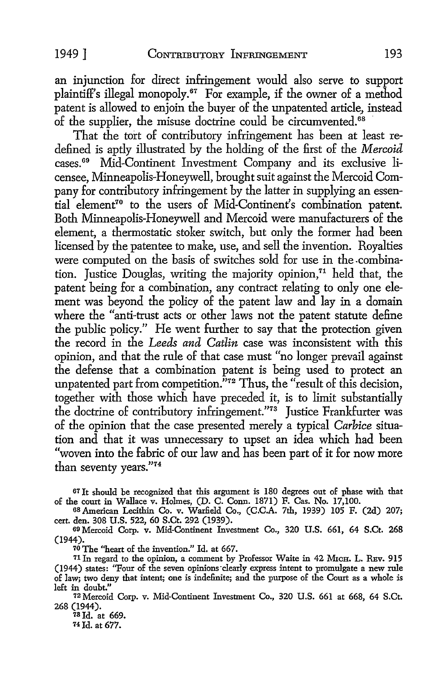an injunction for direct infringement would also serve to support plaintiff's illegal monopoly.67 For example, if the owner of a method patent is allowed to enjoin the buyer of the unpatented article, instead of the supplier, the misuse doctrine could be circumvented.<sup>68</sup>

That the tort of contributory infringement has been at least redefined is aptly illustrated by the holding of the first of the *Mercoid*  cases. 69 Mid-Continent Investment Company and its exclusive licensee, Minneapolis-Honeywell, brought suit against the Mercoid Company for contributory infringement by the latter in supplying an essential element7° to the users of Mid-Continent's combination patent. Both Minneapolis-Honeywell and Mercoid were manufacturers of the element, a thermostatic stoker switch, but only the former had been licensed by the patentee to make, use, and sell the invention. Royalties were computed on the basis of switches sold for use in the -combination. Justice Douglas, writing the majority opinion, $71$  held that, the patent being for a combination, any contract relating to only one element was beyond the policy of the patent law and lay in a domain where the "anti-trust acts or other laws not the patent statute define the public policy." He went further to say that the protection given the record in the *Leeds and Catlin* case was inconsistent with this opinion, and that the rule of that case must "no longer prevail against the defense that a combination patent is being used to protect an unpatented part from competition."<sup>72</sup> Thus, the "result of this decision, together with those which have preceded it, is to limit substantially the doctrine of contributory infringement."<sup>73</sup> Justice Frankfurter was of the opinion that the case presented merely a typical *Carbice* situation and that it was unnecessary to upset an idea which had been "woven into the fabric of our law and has been part of it for now more than seventy years."74

67 It should be recognized that this argument is 180 degrees out of phase with that of the court in Wallace v. Hohnes, (D. C. Conn. 1871) F. Cas. No. 17,100.

<sup>68</sup>American Lecithin Co. v. Warfield Co., (C.C.A. 7th, 1939) 105 F. (2d) 207; cert. den. 308 U.S. 522, 60 S.Ct. 292 (1939).

69 Mercoid Corp. v. Mid-Continent Investment Co., 320 U.S. 661, 64 S.Ct. 268 (1944).

<sup>70</sup>The ''heart of the invention." Id. at 667.

<sup>71</sup> In regard to the opinion, a comment by Professor Waite in 42 MICH. L. REV. 915 (1944) states: ''Four of the seven opinions·clearly express intent to promulgate a new rule of law; two deny that intent; one is indefinite; and the purpose of the Court as a whole is

<sup>72</sup> Mercoid Corp. v. Mid-Continent Investment Co., 320 U.S. 661 at 668, 64 S.Ct. 268 (1944).

 $78$  Id. at 669. 74 Id. at 677.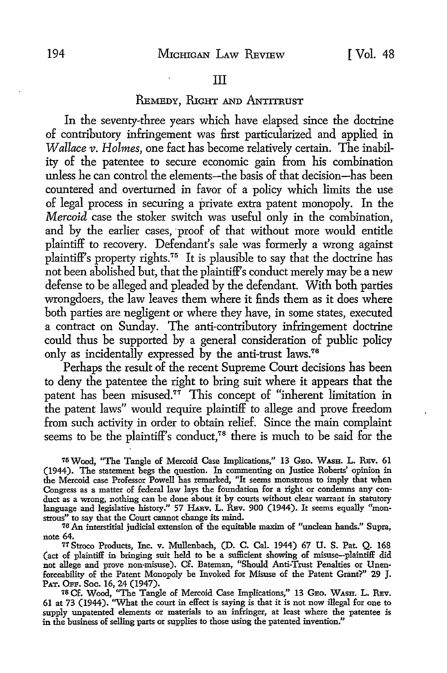## REMEDY, RIGHT AND ANTITRUST

In the seventy-three years which have elapsed since the doctrine of contributory infringement was first particularized and applied in *Wallace v. Holmes, one fact has become relatively certain. The inabil*ity of the patentee to secure economic gain from his combination unless he can control the elements-the basis of that decision-has been countered and overturned in favor of a policy which limits the use of legal process in securing a private extra patent monopoly. In the *Mercoid* case the stoker switch was useful only in the combination, and by the earlier cases, proof of that without more would entitle plaintiff to recovery. Defendant's sale was formerly a wrong against plaintiff's property rights.75 It is plausible to say that the doctrine has not been abolished but, that the plaintiff's conduct merely may be a new defense to be alleged and pleaded by the defendant. With both parties wrongdoers, the law leaves them where it finds them as it does where both parties are negligent or where they have, in some states, executed a contract on Sunday. The anti-contributory infringement doctrine could thus be supported by a general consideration of public policy only as incidentally expressed by the anti-trust laws. 76

Perhaps the result of the recent Supreme Court decisions has been to deny the patentee the right to bring suit where it appears that the patent has been misused.77 This concept of "inherent limitation in the patent laws" would require plaintiff to allege and prove freedom from such activity in order to obtain relief. Since the main complaint seems to be the plaintiff's conduct,<sup>78</sup> there is much to be said for the

<sup>75</sup> Wood, "The Tangle of Mercoid Case Implications," 13 GEO. WASH. L. REV. 61 (1944). The statement begs the question. In commenting on Justice Roberts' opinion in the Mercoid case Professor Powell has remarked, "It seems monstrous to imply that when Congress as a matter of federal law lays the foundation for a right or condemns any conduct as a wrong, nothing can be done about it by courts without clear warrant in statutory language and legislative history." 57 HARV. L. REV. 900 (1944). It seems equally "monstrous" to say that the Court cannot change its mind. 76 An interstitial judicial extension of the equitable maxim of "unclean hands." Supra,

note 64.

77 Stroco Products, Inc. v. Mullenbach, (D. C. Cal. 1944) 67 U. S. Pat. Q. 168 (act of plaintiff in bringing suit held to be a sufficient showing of misuse-plaintiff did not allege and prove non-misuse). Cf. Bateman, "Should Anti-Trust Penalties or Unenforceability of the Patent Monopoly be Invoked for Misuse of the Patent Grant?" 29 J. PAT. OPP. Soc. 16, 24 (1947).

78 Cf. Wood, "The Tangle of Mercoid Case Implications," 13 GEO. WASH. L. REV. 61 at 73 (1944). ''What the court in effect is saying is that it is not now illegal for one to supply unpatented elements or materials to an infringer, at least where the patentee is in the business of selling parts or supplies to those using the patented invention."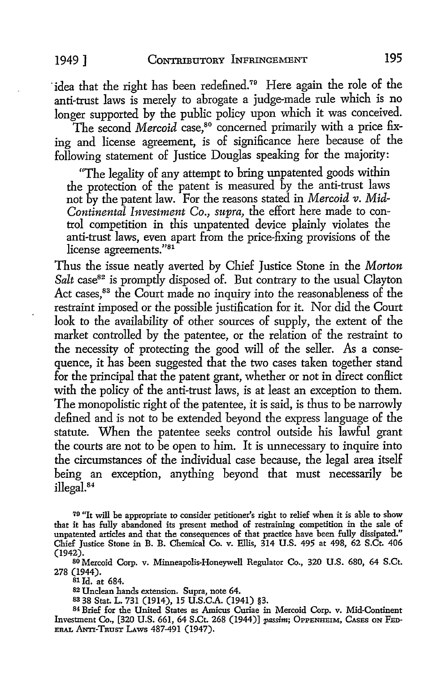1949] CONTRIBUTORY INFRINGEMENT **195** 

idea that the right has been redefined.<sup>79</sup> Here again the role of the anti-trust laws is merely to abrogate a judge-made rule which is no longer supported by the public policy upon which it was conceived.

The second *Mercoid* case,<sup>80</sup> concerned primarily with a price fixing and license agreement, is of significance here because of the following statement of Justice Douglas speaking for the majority:

"The legality of any attempt to bring unpatented goods within the yrotection of the patent is measured by the anti-trust laws not by the patent law. For the reasons stated in *Mercoid v. Mid-Continental Investment Co., supra,* the effort here made to control competition in this unpatented device plainly violates the anti-trust laws, even apart from the price-fixing provisions of the license agreements."<sup>81</sup>

Thus the issue neatly averted by Chief Justice Stone in the *Morton*  Salt case<sup>82</sup> is promptly disposed of. But contrary to the usual Clayton Act cases,<sup>83</sup> the Court made no inquiry into the reasonableness of the restraint imposed or the possible justification for it. Nor did the Court look to the availability of other sources of supply, the extent of the market controlled by the patentee, or the relation of the restraint to the necessity of protecting the good will of the seller. As a consequence, it has been suggested that the two cases taken together stand for the principal that the patent grant, whether or not in direct conflict with the policy of the anti-trust laws, is at least an exception to them. The monopolistic right of the patentee, it is said, is thus to be narrowly defined and is not to be extended beyond the express language of the statute. When the patentee seeks control outside his lawful grant the courts are not to be open to him. It is unnecessary to inquire into the circumstances of the individual case because, the legal area itself being an exception, anything beyond that must necessarily be illegal.<sup>84</sup>

<sup>70</sup>"It will be appropriate to consider petitioner's right to relief when it is able to show that it has fully abandoned its present method of restraining competition in the sale of unpatented articles and that the consequences of that practice have been fully dissipated." Chief Justice Stone in B. B. Chemical Co. v. Ellis, 314 U.S. 495 at 498, 62 S.Ct. 406 (1942).

80 Mercoid Corp. v. Minneapolis-Honeywell Regulator Co., 320 U.S. 680, 64 S.Ct. 278 (1944).

81 Id. at 684.

<sup>82</sup>Unclean hands extension. Supra, note 64.

83 38 Stat. L. 731 (1914), 15 U.S.C.A. (1941) §3.

<sup>84</sup>Brief for the United States as Amicus Curiae in Mercoid Corp. v. Mid-Continent Investment Co., [320 U.S. 661, 64 S.Ct. 268 (1944)] *passim*; OPPENHEIM, CASES ON FED-ERAL ANTI-TRUST LAWS 487-491 (1947).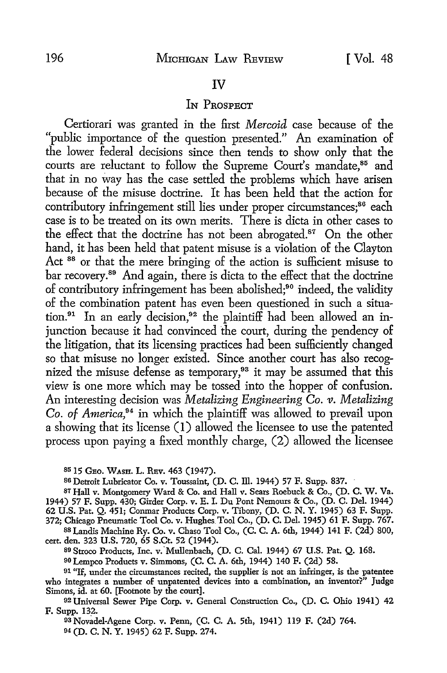#### IV

#### IN PROSPECT

Certiorari was granted in the first *Mercoid* case because of the "public importance of the question presented." An examination of the lower federal decisions since then tends to show only that the courts are reluctant to follow the Supreme Court's mandate,<sup>85</sup> and that in no way has the case settled the problems which have arisen because of the misuse doctrine. It has been held that the action for contributory infringement still lies under proper circumstances;<sup>86</sup> each case is to be treated on its own merits. There is dicta in other cases to the effect that the doctrine has not been abrogated.<sup>87</sup> On the other hand, it has been held that patent misuse is a violation of the Clayton Act <sup>88</sup> or that the mere bringing of the action is sufficient misuse to bar recovery.89 And again, there is dicta to the effect that the doctrine of contributory infringement has been abolished;<sup>90</sup> indeed, the validity of the combination patent has even been questioned in such a situation.<sup>91</sup> In an early decision,<sup>92</sup> the plaintiff had been allowed an injunction because it had convinced the court, during the pendency of the litigation, that its licensing practices had been sufficiently changed so that misuse no longer existed. Since another court has also recognized the misuse defense as temporary,<sup>93</sup> it may be assumed that this view is one more which may be tossed into the hopper of confusion. An interesting decision was *Metalizing Engineering Co. v. Metalizing Co. of America,94* in which the plaintiff was allowed to prevail upon a showing that its license ( 1) allowed the licensee to use the patented process upon paying a fixed monthly charge, (2) allowed the licensee

8515 GEo. WASH. L. REv. 463 (1947).

86 Detroit Lubricator Co. v. Toussaint, (D. C. Ill. 1944) 57 F. Supp. 837.

87 Hall v. Montgomery Ward & Co. and Hall v. Sears Roebuck & Co., (D. C. W. Va. 1944) 57 F. Supp. 430; Girder Corp. v. E. I. Du Pont Nemours & Co., (D. C. Del. 1944) 62 U.S. Pat. Q. 451; Conmar Products Corp. v. Tibony, (D. C. N. Y. 1945) 63 F. Supp. 372; Chicago Pneumatic Tool Co. v. Hughes Tool Co., (D. C. Del. 1945) 61 F. Supp. 767.

88 Landis Machine Ry. Co. v. Chaso Tool Co., (C. C. A. 6th, 1944) 141 F. (2d) 800, cert. den. 323 U.S. 720, 65 S.Ct. 52 (1944).

89 Stroco Products, Inc. v. 'Mullenbach, (D. C. Cal. 1944) 67 U.S. Pat. Q. 168.

90 Lempco Products v. Simmons, (C. C. A. 6th, 1944) 140 F. (2d) 58.

<sup>91</sup>"If, under the circumstances recited, the supplier is not an infringer, is the patentee who integrates a number of unpatented devices into a combination, an inventor?" Judge Simons, id. at 60. [Footnote by the court].

92 Universal Sewer Pipe Corp. v. General Construction Co., (D. C. Ohio 1941) 42 F. Supp. 132.

93 Novadel-Agene Corp. v. Penn, (C. C. A. 5th, 1941) 119 F. (2d) 764. 94 (D. C. N. Y. 1945) 62 F. Supp. 274.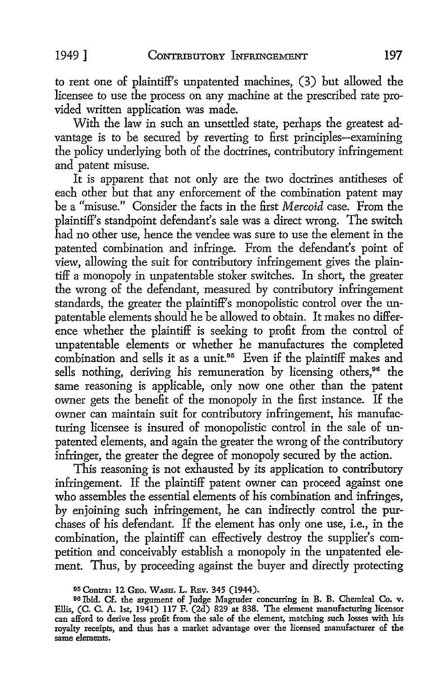to rent one of plaintiff's unpatented machines, (3) but allowed the licensee to use the process on any machine at the prescribed rate provided written application was made.

With the law in such an unsettled state, perhaps the greatest advantage is to be secured by reverting to first principles-examining the policy underlying both of the doctrines, contributory infringement and patent misuse.

It is apparent that not only are the two doctrines antitheses of each other but that any enforcement of the combination patent may be a "misuse." Consider the facts in the first *Mercoid* case. From the plaintiff's standpoint defendant's sale was a direct wrong. The switch had no other use, hence the vendee was sure to use the element in the patented combination and infringe. From the defendant's point of view, allowing the suit for contributory infringement gives the plaintiff a monopoly in unpatentable stoker switches. In short, the greater the wrong of the defendant, measured by contributory infringement standards, the greater the plaintiff's monopolistic control over the unpatentable elements should he be allowed to obtain. It makes no difference whether the plaintiff is seeking to profit from the control of unpatentable elements or whether he manufactures the completed combination and sells it as a unit.<sup>95</sup> Even if the plaintiff makes and sells nothing, deriving his remuneration by licensing others,<sup>96</sup> the same reasoning is applicable, only now one other than the patent owner gets the benefit of the monopoly in the first instance. If the owner can maintain suit for contributory infringement, his manufacturing licensee is insured of monopolistic control in the sale of unpatented elements, and again the greater the wrong of the contributory infringer, the greater the degree of monopoly secured by the action.

This reasoning is not exhausted by its application to contributory infringement. If the plaintiff patent owner can proceed against one who assembles the essential elements of his combination and infringes, by enjoining such infringement, he can indirectly control the purchases of his defendant. If the element has only one use, i.e., in the combination, the plaintiff can effectively destroy the supplier's competition and conceivably establish a monopoly in the unpatented element. Thus, by proceeding against the buyer and directly protecting

<sup>95</sup> Contra: 12 GEO. WASH. L. REV. 345 (1944).

<sup>96</sup> Ibid. Cf. the argument of Judge Magruder concurring in B. B. Chemical Co. v. Ellis, (C. C. A. 1st, 1941) 117 F. (2d) 829 at 838. The element manufacturing licensor can afford to derive less profit from the sale of the element, matching such losses with his royalty receipts, and thus has a market advantage over the licensed manufacturer of the same elements.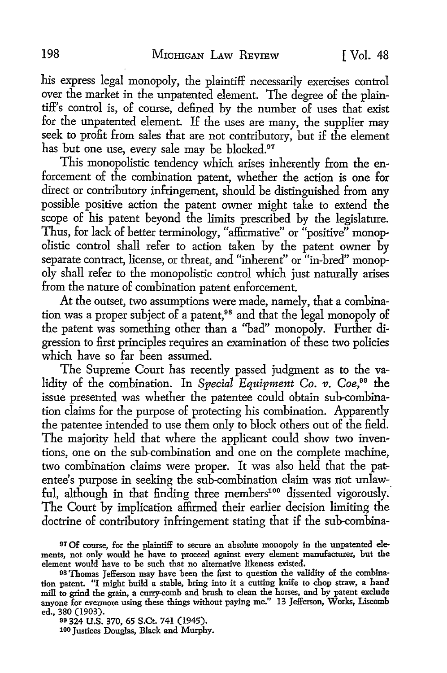his express legal monopoly, the plaintiff necessarily exercises control over the market in the unpatented element. The degree of the plaintiff's control is, of course, defined by the number of uses that exist for the unpatented element. If the uses are many, the supplier may seek to profit from sales that are not contributory, but if the element has but one use, every sale may be blocked.<sup>97</sup>

This monopolistic tendency which arises inherently from the enforcement of the combination patent, whether the action is one for direct or contributory infringement, should be distinguished from any possible positive action the patent owner might take to extend the scope of his patent beyond the limits prescribed by the legislature. Thus, for lack of better terminology, "affirmative" or "positive" monopolistic control shall refer to action taken by the patent owner by separate contract, license, or threat, and "inherent" or "in-bred" monopoly shall refer to the monopolistic control which just naturally arises from the nature of combination patent enforcement.

At the outset, two assumptions were made, namely, that a combination was a proper subject of a patent,<sup>98</sup> and that the legal monopoly of the patent was something other than a "bad" monopoly. Further digression to first principles requires an examination of these two policies which have so far been assumed.

The Supreme Court has recently passed judgment as to the validity of the combination. In Special Equipment Co. v. Coe,<sup>99</sup> the issue presented was whether the patentee could obtain sub-combination claims for the purpose of protecting his combination. Apparently the patentee intended to use them only to block others out of the field. The majority held that where the applicant could show two inventions, one on the sub-combination and one on the complete machine, two combination claims were proper. It was also held that the patentee's purpose in seeking the sub-combination claim was not unlawful, although in that finding three members<sup>100</sup> dissented vigorously. The Court by implication affirmed their earlier decision limiting the doctrine of contributory infringement stating that if the sub-combina-

99 324 U.S. 370, 65 S.Ct. 741 (1945). 100 Justices Douglas, Black and Murphy.

<sup>&</sup>lt;sup>97</sup> Of course, for the plaintiff to secure an absolute monopoly in the unpatented elements, not only would he have to proceed against every element manufacturer, but the element would have to be such that no alternative likeness existed.

<sup>98</sup> Thomas Jefferson may have been the first to question the validity of the combination patent. ''I might build a stable, bring into it a cutting knife to chop straw, a hand mill to grind the grain, a curry-comb and brush to clean the horses, and by patent exclude anyone for evermore using these things without paying me." 13 Jefferson, Works, Liscomb ed., 380 (1903).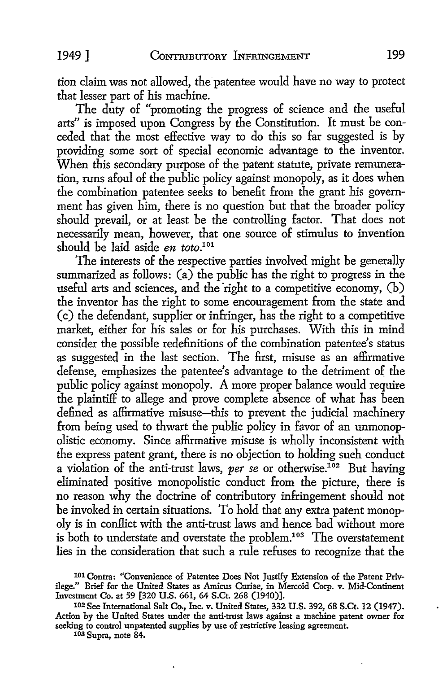tion claim was not allowed, the patentee would have no way to protect that lesser part of his machine.

The duty of "promoting the progress of science and the useful arts" is imposed upon Congress by the Constitution. It must be conceded that the most effective way to do this so far suggested is by providing some sort of special economic advantage to the inventor. When this secondary purpose of the patent statute, private remuneration, runs afoul of the public policy against monopoly, as it does when the combination patentee seeks to benefit from the grant his government has given him, there is no question but that the broader policy should prevail, or at least be the controlling factor. That does not necessarily mean, however, that one source of stimulus to invention should be laid aside *en toto.101* 

The interests of the respective parties involved might be generally summarized as follows:  $(a)$  the public has the right to progress in the useful arts and sciences, and the right to a competitive economy, (b) the inventor has the right to some encouragement from the state and (c) the defendant, supplier or infringer, has the right to a competitive market, either for his sales or for his purchases. With this in mind consider the possible redefinitions of the combination patentee's status as suggested in the last section. The first, misuse as an affirmative defense, emphasizes the patentee's advantage to the detriment of the public policy against monopoly. A more proper balance would require the plaintiff to allege and prove complete absence of what has been defined as affirmative misuse-this to prevent the judicial machinery from being used to thwart the public policy in favor of an unmonopolistic economy. Since affirmative misuse is wholly inconsistent with the express patent grant, there is no objection to holding such conduct a violation of the anti-trust laws, *per se* or otherwise.102 But having eliminated positive monopolistic conduct from the picture, there is no reason why the doctrine of contributory infringement should not be invoked in certain situations. To hold that any extra patent monopoly is in conflict with the anti-trust laws and hence bad without more is both to understate and overstate the problem.<sup>103</sup> The overstatement lies in the consideration that such a rule refuses to recognize that the

1o1 Contra: "Convenience of Patentee Does Not Justify Extension of the Patent Privilege." Brief for the United States as Amicus Curiae, in Mercoid Corp. v. Mid-Continent Investment Co. at 59 [320 U.S. 661, 64 S.Ct. 268 (1940)].

103 Supra, note 84.

<sup>102</sup> See International Salt Co., Inc. v. United States, 332 U.S. 392, 68 S.Ct. 12 (1947). Action by the United States under the anti-trust laws against a machine patent owner for seeking to control unpatented supplies by use of restrictive leasing agreement.